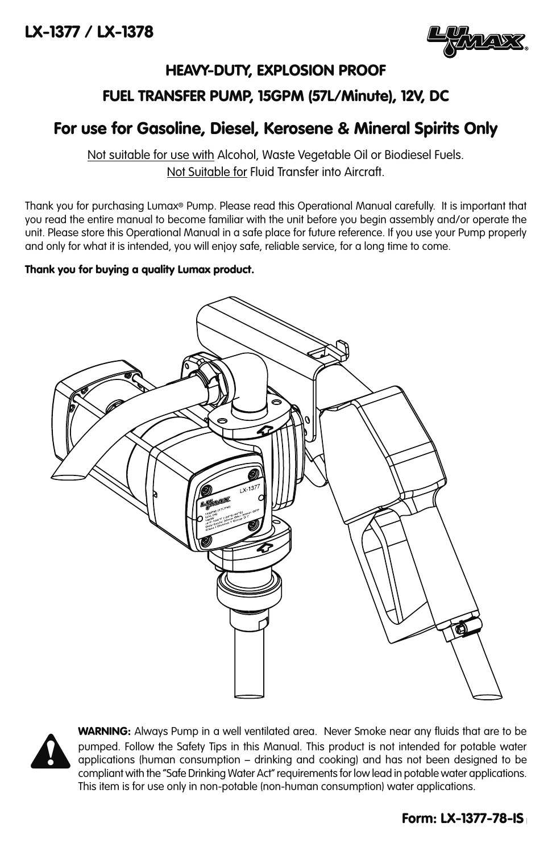

# HEAVY-DUTY, EXPLOSION PROOF

# FUEL TRANSFER PUMP, 15GPM (57L/Minute), 12V, DC

# For use for Gasoline, Diesel, Kerosene & Mineral Spirits Only

Not suitable for use with Alcohol, Waste Vegetable Oil or Biodiesel Fuels. Not Suitable for Fluid Transfer into Aircraft.

Thank you for purchasing Lumax® Pump. Please read this Operational Manual carefully. It is important that you read the entire manual to become familiar with the unit before you begin assembly and/or operate the unit. Please store this Operational Manual in a safe place for future reference. If you use your Pump properly and only for what it is intended, you will enjoy safe, reliable service, for a long time to come.

# Thank you for buying a quality Lumax product.





WARNING: Always Pump in a well ventilated area. Never Smoke near any fluids that are to be pumped. Follow the Safety Tips in this Manual. This product is not intended for potable water applications (human consumption – drinking and cooking) and has not been designed to be compliant with the "Safe Drinking Water Act" requirements for low lead in potable water applications. This item is for use only in non-potable (non-human consumption) water applications.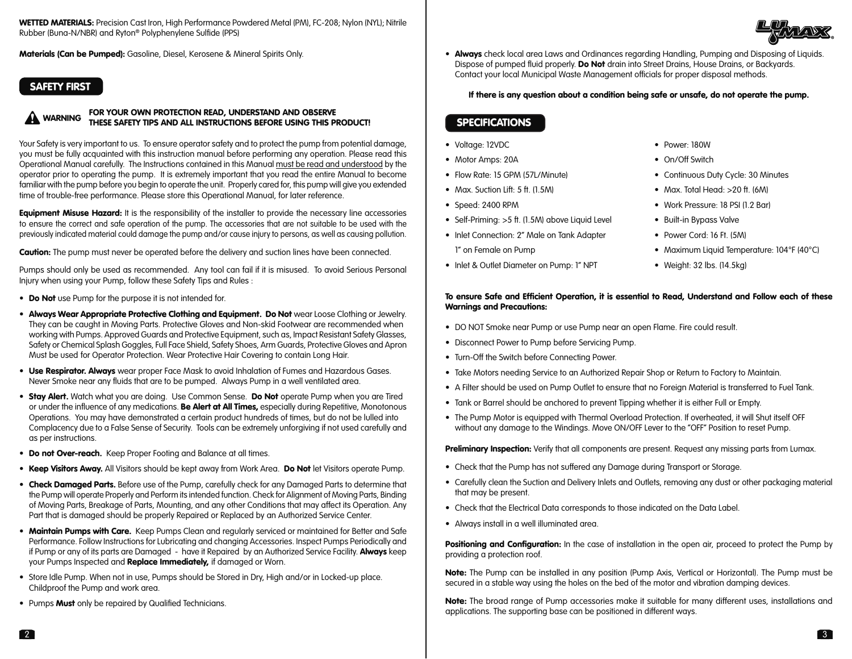WETTED MATERIALS: Precision Cast Iron, High Performance Powdered Metal (PM), FC-208; Nylon (NYL); Nitrile Rubber (Buna-N/NBR) and Ryton® Polyphenylene Sulfide (PPS)

Materials (Can be Pumped): Gasoline, Diesel, Kerosene & Mineral Spirits Only.

# SAFETY FIRST

#### FOR YOUR OWN PROTECTION READ, UNDERSTAND AND OBSERVE THESE SAFETY TIPS AND ALL INSTRUCTIONS BEFORE USING THIS PRODUCT!  $\blacktriangle$

Your Safety is very important to us. To ensure operator safety and to protect the pump from potential damage, you must be fully acquainted with this instruction manual before performing any operation. Please read this Operational Manual carefully. The Instructions contained in this Manual must be read and understood by the operator prior to operating the pump. It is extremely important that you read the entire Manual to become familiar with the pump before you begin to operate the unit. Properly cared for, this pump will give you extended time of trouble-free performance. Please store this Operational Manual, for later reference.

Equipment Misuse Hazard: It is the responsibility of the installer to provide the necessary line accessories to ensure the correct and safe operation of the pump. The accessories that are not suitable to be used with the previously indicated material could damage the pump and/or cause injury to persons, as well as causing pollution.

**Caution:** The pump must never be operated before the delivery and suction lines have been connected.

Pumps should only be used as recommended. Any tool can fail if it is misused. To avoid Serious Personal Injury when using your Pump, follow these Safety Tips and Rules :

- Do Not use Pump for the purpose it is not intended for.
- Always Wear Appropriate Protective Clothing and Equipment. Do Not wear Loose Clothing or Jewelry. They can be caught in Moving Parts. Protective Gloves and Non-skid Footwear are recommended when working with Pumps. Approved Guards and Protective Equipment, such as, Impact Resistant Safety Glasses, Safety or Chemical Splash Goggles, Full Face Shield, Safety Shoes, Arm Guards, Protective Gloves and Apron Must be used for Operator Protection. Wear Protective Hair Covering to contain Long Hair.
- Use Respirator. Always wear proper Face Mask to avoid Inhalation of Fumes and Hazardous Gases. Never Smoke near any fluids that are to be pumped. Always Pump in a well ventilated area.
- Stay Alert. Watch what you are doing. Use Common Sense. Do Not operate Pump when you are Tired or under the influence of any medications. Be Alert at All Times, especially during Repetitive, Monotonous Operations. You may have demonstrated a certain product hundreds of times, but do not be lulled into Complacency due to a False Sense of Security. Tools can be extremely unforgiving if not used carefully and as per instructions.
- Do not Over-reach. Keep Proper Footing and Balance at all times.
- Keep Visitors Away. All Visitors should be kept away from Work Area. Do Not let Visitors operate Pump.
- Check Damaged Parts. Before use of the Pump, carefully check for any Damaged Parts to determine that the Pump will operate Properly and Perform its intended function. Check for Alignment of Moving Parts, Binding of Moving Parts, Breakage of Parts, Mounting, and any other Conditions that may affect its Operation. Any Part that is damaged should be properly Repaired or Replaced by an Authorized Service Center.
- Maintain Pumps with Care. Keep Pumps Clean and regularly serviced or maintained for Better and Safe Performance. Follow Instructions for Lubricating and changing Accessories. Inspect Pumps Periodically and if Pump or any of its parts are Damaged - have it Repaired by an Authorized Service Facility. Always keep your Pumps Inspected and Replace Immediately, if damaged or Worn.
- Store Idle Pump. When not in use, Pumps should be Stored in Dry, High and/or in Locked-up place. Childproof the Pump and work area.
- Pumps Must only be repaired by Qualified Technicians.

• Always check local area Laws and Ordinances regarding Handling, Pumping and Disposing of Liquids. Dispose of pumped fluid properly. **Do Not** drain into Street Drains, House Drains, or Backyards. Contact your local Municipal Waste Management officials for proper disposal methods.

# If there is any question about a condition being safe or unsafe, do not operate the pump.

# **SPECIFICATIONS**

- 
- 
- 
- 
- 
- Self-Priming: >5 ft. (1.5M) above Liquid Level Built-in Bypass Valve
- Inlet Connection: 2" Male on Tank Adapter • Power Cord: 16 Ft. (5M)
- Inlet & Outlet Diameter on Pump: 1" NPT Weight: 32 lbs. (14.5kg)
- Voltage: 12VDC Power: 180W
- Motor Amps: 20A  **On/Off Switch**
- Flow Rate: 15 GPM (57L/Minute) Continuous Duty Cycle: 30 Minutes
- Max. Suction Lift: 5 ft. (1.5M) Max. Total Head: >20 ft. (6M)
- Speed: 2400 RPM Work Pressure: 18 PSI (1.2 Bar)
	-
	-
	- 1" on Female on Pump Maximum Liquid Temperature: 104°F (40°C)
		-

# To ensure Safe and Efficient Operation, it is essential to Read, Understand and Follow each of these Warnings and Precautions:

- DO NOT Smoke near Pump or use Pump near an open Flame. Fire could result.
- Disconnect Power to Pump before Servicing Pump.
- Turn-Off the Switch before Connecting Power.
- Take Motors needing Service to an Authorized Repair Shop or Return to Factory to Maintain.
- A Filter should be used on Pump Outlet to ensure that no Foreign Material is transferred to Fuel Tank.
- Tank or Barrel should be anchored to prevent Tipping whether it is either Full or Empty.
- The Pump Motor is equipped with Thermal Overload Protection. If overheated, it will Shut itself OFF without any damage to the Windings. Move ON/OFF Lever to the "OFF" Position to reset Pump.

**Preliminary Inspection:** Verify that all components are present. Request any missing parts from Lumax.

- Check that the Pump has not suffered any Damage during Transport or Storage.
- Carefully clean the Suction and Delivery Inlets and Outlets, removing any dust or other packaging material that may be present.
- Check that the Electrical Data corresponds to those indicated on the Data Label.
- Always install in a well illuminated area.

Positioning and Configuration: In the case of installation in the open air, proceed to protect the Pump by providing a protection roof.

Note: The Pump can be installed in any position (Pump Axis, Vertical or Horizontal). The Pump must be secured in a stable way using the holes on the bed of the motor and vibration damping devices.

Note: The broad range of Pump accessories make it suitable for many different uses, installations and applications. The supporting base can be positioned in different ways.

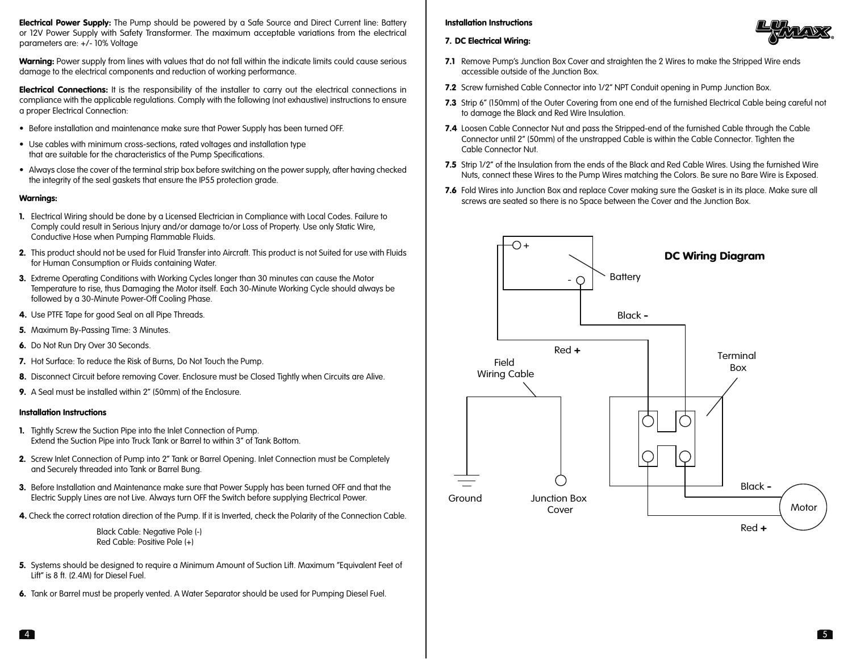**Electrical Power Supply:** The Pump should be powered by a Safe Source and Direct Current line: Battery or 12V Power Supply with Safety Transformer. The maximum acceptable variations from the electrical parameters are: +/- 10% Voltage

Warning: Power supply from lines with values that do not fall within the indicate limits could cause serious damage to the electrical components and reduction of working performance.

Electrical Connections: It is the responsibility of the installer to carry out the electrical connections in compliance with the applicable regulations. Comply with the following (not exhaustive) instructions to ensure a proper Electrical Connection:

- Before installation and maintenance make sure that Power Supply has been turned OFF.
- Use cables with minimum cross-sections, rated voltages and installation type that are suitable for the characteristics of the Pump Specifications.
- Always close the cover of the terminal strip box before switching on the power supply, after having checked the integrity of the seal gaskets that ensure the IP55 protection grade.

### Warnings:

- 1. Electrical Wiring should be done by a Licensed Electrician in Compliance with Local Codes. Failure to Comply could result in Serious Injury and/or damage to/or Loss of Property. Use only Static Wire, Conductive Hose when Pumping Flammable Fluids.
- 2. This product should not be used for Fluid Transfer into Aircraft. This product is not Suited for use with Fluids for Human Consumption or Fluids containing Water.
- **3.** Extreme Operating Conditions with Working Cycles longer than 30 minutes can cause the Motor Temperature to rise, thus Damaging the Motor itself. Each 30-Minute Working Cycle should always be followed by a 30-Minute Power-Off Cooling Phase.
- 4. Use PTFE Tape for good Seal on all Pipe Threads.
- 5. Maximum By-Passing Time: 3 Minutes.
- 6. Do Not Run Dry Over 30 Seconds.
- 7. Hot Surface: To reduce the Risk of Burns, Do Not Touch the Pump.
- 8. Disconnect Circuit before removing Cover. Enclosure must be Closed Tightly when Circuits are Alive.
- 9. A Seal must be installed within 2" (50mm) of the Enclosure.

#### Installation Instructions

- 1. Tightly Screw the Suction Pipe into the Inlet Connection of Pump. Extend the Suction Pipe into Truck Tank or Barrel to within 3" of Tank Bottom.
- 2. Screw Inlet Connection of Pump into 2" Tank or Barrel Opening. Inlet Connection must be Completely and Securely threaded into Tank or Barrel Bung.
- 3. Before Installation and Maintenance make sure that Power Supply has been turned OFF and that the Electric Supply Lines are not Live. Always turn OFF the Switch before supplying Electrical Power.
- 4. Check the correct rotation direction of the Pump. If it is Inverted, check the Polarity of the Connection Cable.

 Black Cable: Negative Pole (-) Red Cable: Positive Pole (+)

- 5. Systems should be designed to require a Minimum Amount of Suction Lift. Maximum "Equivalent Feet of Lift" is 8 ft. (2.4M) for Diesel Fuel.
- 6. Tank or Barrel must be properly vented. A Water Separator should be used for Pumping Diesel Fuel.

# Installation Instructions



- 7. DC Electrical Wiring:
- **7.1** Remove Pump's Junction Box Cover and straighten the 2 Wires to make the Stripped Wire ends accessible outside of the Junction Box.
- 7.2 Screw furnished Cable Connector into 1/2" NPT Conduit opening in Pump Junction Box.
- 7.3 Strip 6" (150mm) of the Outer Covering from one end of the furnished Electrical Cable being careful not to damage the Black and Red Wire Insulation.
- 7.4 Loosen Cable Connector Nut and pass the Stripped-end of the furnished Cable through the Cable Connector until 2" (50mm) of the unstrapped Cable is within the Cable Connector. Tighten the Cable Connector Nut.
- 7.5 Strip 1/2" of the Insulation from the ends of the Black and Red Cable Wires. Using the furnished Wire Nuts, connect these Wires to the Pump Wires matching the Colors. Be sure no Bare Wire is Exposed.
- 7.6 Fold Wires into Junction Box and replace Cover making sure the Gasket is in its place. Make sure all screws are seated so there is no Space between the Cover and the Junction Box.

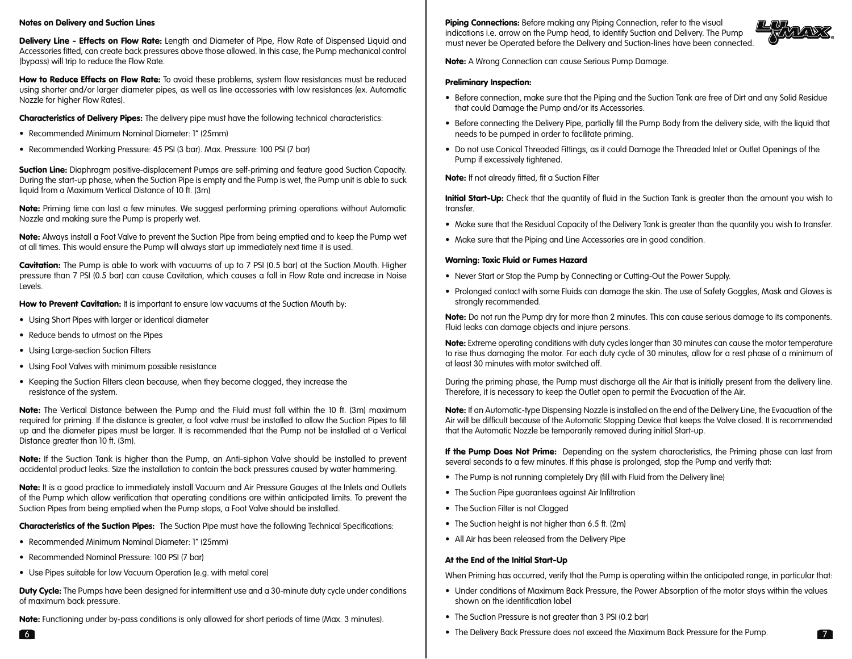# Notes on Delivery and Suction Lines

Delivery Line - Effects on Flow Rate: Length and Diameter of Pipe, Flow Rate of Dispensed Liquid and Accessories fitted, can create back pressures above those allowed. In this case, the Pump mechanical control (bypass) will trip to reduce the Flow Rate.

How to Reduce Effects on Flow Rate: To avoid these problems, system flow resistances must be reduced using shorter and/or larger diameter pipes, as well as line accessories with low resistances (ex. Automatic Nozzle for higher Flow Rates).

**Characteristics of Delivery Pipes:** The delivery pipe must have the following technical characteristics:

- Recommended Minimum Nominal Diameter: 1" (25mm)
- Recommended Working Pressure: 45 PSI (3 bar). Max. Pressure: 100 PSI (7 bar)

**Suction Line:** Diaphragm positive-displacement Pumps are self-priming and feature good Suction Capacity. During the start-up phase, when the Suction Pipe is empty and the Pump is wet, the Pump unit is able to suck liquid from a Maximum Vertical Distance of 10 ft. (3m)

Note: Priming time can last a few minutes. We suggest performing priming operations without Automatic Nozzle and making sure the Pump is properly wet.

Note: Always install a Foot Valve to prevent the Suction Pipe from being emptied and to keep the Pump wet at all times. This would ensure the Pump will always start up immediately next time it is used.

Cavitation: The Pump is able to work with vacuums of up to 7 PSI (0.5 bar) at the Suction Mouth. Higher pressure than 7 PSI (0.5 bar) can cause Cavitation, which causes a fall in Flow Rate and increase in Noise Levels.

How to Prevent Cavitation: It is important to ensure low vacuums at the Suction Mouth by:

- Using Short Pipes with larger or identical diameter
- Reduce bends to utmost on the Pipes
- Using Large-section Suction Filters
- Using Foot Valves with minimum possible resistance
- Keeping the Suction Filters clean because, when they become clogged, they increase the resistance of the system.

Note: The Vertical Distance between the Pump and the Fluid must fall within the 10 ft. (3m) maximum required for priming. If the distance is greater, a foot valve must be installed to allow the Suction Pipes to fill up and the diameter pipes must be larger. It is recommended that the Pump not be installed at a Vertical Distance greater than 10 ft. (3m).

Note: If the Suction Tank is higher than the Pump, an Anti-siphon Valve should be installed to prevent accidental product leaks. Size the installation to contain the back pressures caused by water hammering.

Note: It is a good practice to immediately install Vacuum and Air Pressure Gauges at the Inlets and Outlets of the Pump which allow verification that operating conditions are within anticipated limits. To prevent the Suction Pipes from being emptied when the Pump stops, a Foot Valve should be installed.

**Characteristics of the Suction Pipes:** The Suction Pipe must have the following Technical Specifications:

- Recommended Minimum Nominal Diameter: 1" (25mm)
- Recommended Nominal Pressure: 100 PSI (7 bar)
- Use Pipes suitable for low Vacuum Operation (e.g. with metal core)

**Duty Cycle:** The Pumps have been designed for intermittent use and a 30-minute duty cycle under conditions of maximum back pressure.

Note: Functioning under by-pass conditions is only allowed for short periods of time (Max. 3 minutes).

Piping Connections: Before making any Piping Connection, refer to the visual indications i.e. arrow on the Pump head, to identify Suction and Delivery. The Pump must never be Operated before the Delivery and Suction-lines have been connected.



Note: A Wrong Connection can cause Serious Pump Damage.

## Preliminary Inspection:

- Before connection, make sure that the Piping and the Suction Tank are free of Dirt and any Solid Residue that could Damage the Pump and/or its Accessories.
- Before connecting the Delivery Pipe, partially fill the Pump Body from the delivery side, with the liquid that needs to be pumped in order to facilitate priming.
- Do not use Conical Threaded Fittings, as it could Damage the Threaded Inlet or Outlet Openings of the Pump if excessively tightened.

Note: If not already fitted, fit a Suction Filter

**Initial Start-Up:** Check that the quantity of fluid in the Suction Tank is greater than the amount you wish to transfer.

- Make sure that the Residual Capacity of the Delivery Tank is greater than the quantity you wish to transfer.
- Make sure that the Piping and Line Accessories are in good condition.

# Warning: Toxic Fluid or Fumes Hazard

- Never Start or Stop the Pump by Connecting or Cutting-Out the Power Supply.
- Prolonged contact with some Fluids can damage the skin. The use of Safety Goggles, Mask and Gloves is strongly recommended.

Note: Do not run the Pump dry for more than 2 minutes. This can cause serious damage to its components. Fluid leaks can damage objects and injure persons.

Note: Extreme operating conditions with duty cycles longer than 30 minutes can cause the motor temperature to rise thus damaging the motor. For each duty cycle of 30 minutes, allow for a rest phase of a minimum of at least 30 minutes with motor switched off.

During the priming phase, the Pump must discharge all the Air that is initially present from the delivery line. Therefore, it is necessary to keep the Outlet open to permit the Evacuation of the Air.

Note: If an Automatic-type Dispensing Nozzle is installed on the end of the Delivery Line, the Evacuation of the Air will be difficult because of the Automatic Stopping Device that keeps the Valve closed. It is recommended that the Automatic Nozzle be temporarily removed during initial Start-up.

If the Pump Does Not Prime: Depending on the system characteristics, the Priming phase can last from several seconds to a few minutes. If this phase is prolonged, stop the Pump and verify that:

- The Pump is not running completely Dry (fill with Fluid from the Delivery line)
- The Suction Pipe guarantees against Air Infiltration
- The Suction Filter is not Clogged
- The Suction height is not higher than 6.5 ft. (2m)
- All Air has been released from the Delivery Pipe

# At the End of the Initial Start-Up

When Priming has occurred, verify that the Pump is operating within the anticipated range, in particular that:

- Under conditions of Maximum Back Pressure, the Power Absorption of the motor stays within the values shown on the identification label
- The Suction Pressure is not greater than 3 PSI (0.2 bar)
- **6 •** The Delivery Back Pressure does not exceed the Maximum Back Pressure for the Pump.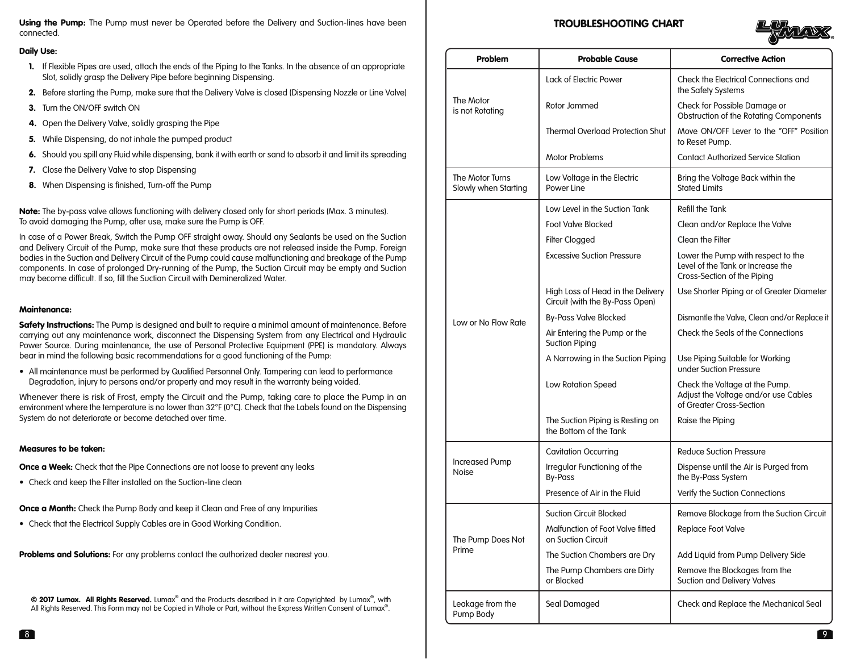Using the Pump: The Pump must never be Operated before the Delivery and Suction-lines have been connected.

# Daily Use:

- 1. If Flexible Pipes are used, attach the ends of the Piping to the Tanks. In the absence of an appropriate Slot, solidly grasp the Delivery Pipe before beginning Dispensing.
- 2. Before starting the Pump, make sure that the Delivery Valve is closed (Dispensing Nozzle or Line Valve)
- 3. Turn the ON/OFF switch ON
- 4. Open the Delivery Valve, solidly grasping the Pipe
- 5. While Dispensing, do not inhale the pumped product
- 6. Should you spill any Fluid while dispensing, bank it with earth or sand to absorb it and limit its spreading
- 7. Close the Delivery Valve to stop Dispensing
- 8. When Dispensing is finished, Turn-off the Pump

# Maintenance:

# Measures to be taken:

• Check and keep the Filter installed on the Suction-line clean

# TROUBLESHOOTING CHART



| ily Use:<br>If Flexible Pipes are used, attach the ends of the Piping to the Tanks. In the absence of an appropriate                                                                                                                                                                                              | Problem                                 | <b>Probable Cause</b>                                                | <b>Corrective Action</b>                                                                               |
|-------------------------------------------------------------------------------------------------------------------------------------------------------------------------------------------------------------------------------------------------------------------------------------------------------------------|-----------------------------------------|----------------------------------------------------------------------|--------------------------------------------------------------------------------------------------------|
| Slot, solidly grasp the Delivery Pipe before beginning Dispensing.                                                                                                                                                                                                                                                |                                         | Lack of Electric Power                                               | Check the Electrical Connections and<br>the Safety Systems                                             |
| Before starting the Pump, make sure that the Delivery Valve is closed (Dispensing Nozzle or Line Valve)                                                                                                                                                                                                           | The Motor<br>is not Rotating            | Rotor Jammed                                                         | Check for Possible Damage or                                                                           |
| Turn the ON/OFF switch ON                                                                                                                                                                                                                                                                                         |                                         |                                                                      | Obstruction of the Rotating Components                                                                 |
| Open the Delivery Valve, solidly grasping the Pipe                                                                                                                                                                                                                                                                |                                         | <b>Thermal Overload Protection Shut</b>                              | Move ON/OFF Lever to the "OFF" Position                                                                |
| While Dispensing, do not inhale the pumped product                                                                                                                                                                                                                                                                |                                         |                                                                      | to Reset Pump.                                                                                         |
| Should you spill any Fluid while dispensing, bank it with earth or sand to absorb it and limit its spreading                                                                                                                                                                                                      |                                         | Motor Problems                                                       | <b>Contact Authorized Service Station</b>                                                              |
| Close the Delivery Valve to stop Dispensing                                                                                                                                                                                                                                                                       | The Motor Turns<br>Slowly when Starting | Low Voltage in the Electric                                          | Bring the Voltage Back within the                                                                      |
| 3. When Dispensing is finished, Turn-off the Pump                                                                                                                                                                                                                                                                 |                                         | Power Line                                                           | <b>Stated Limits</b>                                                                                   |
| te: The by-pass valve allows functioning with delivery closed only for short periods (Max. 3 minutes).                                                                                                                                                                                                            |                                         | Low Level in the Suction Tank                                        | Refill the Tank                                                                                        |
| avoid damaging the Pump, after use, make sure the Pump is OFF.                                                                                                                                                                                                                                                    |                                         | <b>Foot Valve Blocked</b>                                            | Clean and/or Replace the Valve                                                                         |
| ase of a Power Break, Switch the Pump OFF straight away. Should any Sealants be used on the Suction<br>I Delivery Circuit of the Pump, make sure that these products are not released inside the Pump. Foreign                                                                                                    |                                         | Filter Clogged                                                       | Clean the Filter                                                                                       |
| dies in the Suction and Delivery Circuit of the Pump could cause malfunctioning and breakage of the Pump<br>nponents. In case of prolonged Dry-running of the Pump, the Suction Circuit may be empty and Suction<br>y become difficult. If so, fill the Suction Circuit with Demineralized Water.                 | Low or No Flow Rate                     | <b>Excessive Suction Pressure</b>                                    | Lower the Pump with respect to the<br>Level of the Tank or Increase the<br>Cross-Section of the Piping |
| intenance:                                                                                                                                                                                                                                                                                                        |                                         | High Loss of Head in the Delivery<br>Circuit (with the By-Pass Open) | Use Shorter Piping or of Greater Diameter                                                              |
| iety Instructions: The Pump is designed and built to require a minimal amount of maintenance. Before<br>rying out any maintenance work, disconnect the Dispensing System from any Electrical and Hydraulic<br>ver Source. During maintenance, the use of Personal Protective Equipment (PPE) is mandatory. Always |                                         | <b>By-Pass Valve Blocked</b>                                         | Dismantle the Valve, Clean and/or Replace it                                                           |
|                                                                                                                                                                                                                                                                                                                   |                                         | Air Entering the Pump or the<br><b>Suction Piping</b>                | Check the Seals of the Connections                                                                     |
| ar in mind the following basic recommendations for a good functioning of the Pump:                                                                                                                                                                                                                                |                                         | A Narrowing in the Suction Piping                                    | Use Piping Suitable for Working<br>under Suction Pressure                                              |
| All maintenance must be performed by Qualified Personnel Only. Tampering can lead to performance<br>Degradation, injury to persons and/or property and may result in the warranty being voided.                                                                                                                   |                                         | Low Rotation Speed                                                   | Check the Voltage at the Pump.                                                                         |
| enever there is risk of Frost, empty the Circuit and the Pump, taking care to place the Pump in an<br>ironment where the temperature is no lower than 32°F (0°C). Check that the Labels found on the Dispensing                                                                                                   |                                         |                                                                      | Adjust the Voltage and/or use Cables<br>of Greater Cross-Section                                       |
| tem do not deteriorate or become detached over time.                                                                                                                                                                                                                                                              |                                         | The Suction Piping is Resting on<br>the Bottom of the Tank           | Raise the Piping                                                                                       |
| asures to be taken:                                                                                                                                                                                                                                                                                               |                                         | <b>Cavitation Occurring</b>                                          | <b>Reduce Suction Pressure</b>                                                                         |
| ce a Week: Check that the Pipe Connections are not loose to prevent any leaks                                                                                                                                                                                                                                     | <b>Increased Pump</b><br>Noise          | Irregular Functioning of the                                         | Dispense until the Air is Purged from                                                                  |
| Check and keep the Filter installed on the Suction-line clean                                                                                                                                                                                                                                                     |                                         | <b>By-Pass</b>                                                       | the By-Pass System                                                                                     |
|                                                                                                                                                                                                                                                                                                                   |                                         | Presence of Air in the Fluid                                         | Verify the Suction Connections                                                                         |
| ce a Month: Check the Pump Body and keep it Clean and Free of any Impurities                                                                                                                                                                                                                                      |                                         | <b>Suction Circuit Blocked</b>                                       | Remove Blockage from the Suction Circuit                                                               |
| Check that the Electrical Supply Cables are in Good Working Condition.                                                                                                                                                                                                                                            | The Pump Does Not<br>Prime              | Malfunction of Foot Valve fitted<br>on Suction Circuit               | Replace Foot Valve                                                                                     |
| blems and Solutions: For any problems contact the authorized dealer nearest you.                                                                                                                                                                                                                                  |                                         | The Suction Chambers are Dry                                         | Add Liquid from Pump Delivery Side                                                                     |
|                                                                                                                                                                                                                                                                                                                   |                                         | The Pump Chambers are Dirty<br>or Blocked                            | Remove the Blockages from the<br>Suction and Delivery Valves                                           |
| © 2017 Lumax. All Rights Reserved. Lumax® and the Products described in it are Copyrighted by Lumax®, with<br>All Rights Reserved. This Form may not be Copied in Whole or Part, without the Express Written Consent of Lumax®.                                                                                   | Leakage from the<br>Pump Body           | Seal Damaged                                                         | Check and Replace the Mechanical Seal                                                                  |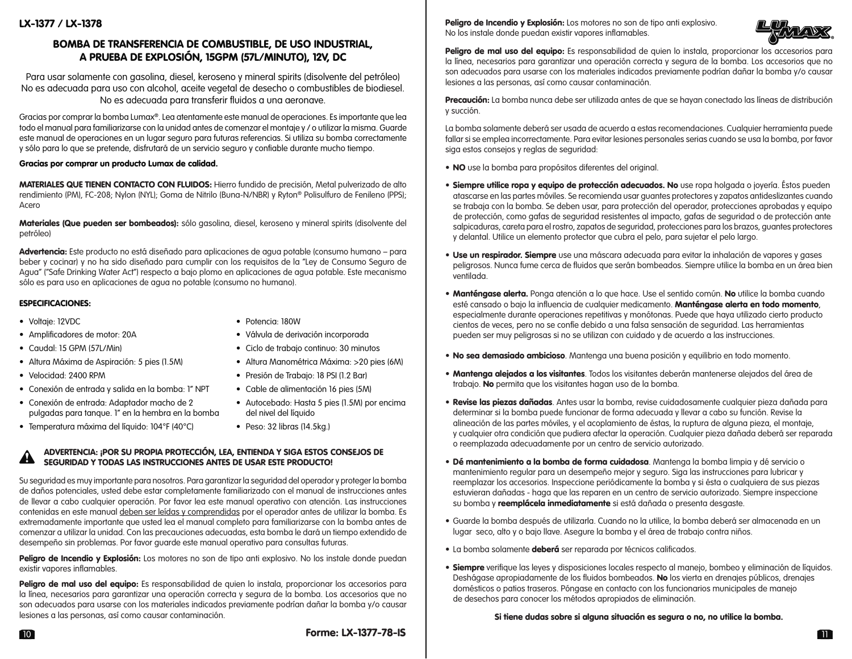# BOMBA DE TRANSFERENCIA DE COMBUSTIBLE, DE USO INDUSTRIAL, A PRUEBA DE EXPLOSIÓN, 15GPM (57L/MINUTO), 12V, DC

Para usar solamente con gasolina, diesel, keroseno y mineral spirits (disolvente del petróleo) No es adecuada para uso con alcohol, aceite vegetal de desecho o combustibles de biodiesel. No es adecuada para transferir fluidos a una aeronave.

Gracias por comprar la bomba Lumax®. Lea atentamente este manual de operaciones. Es importante que lea todo el manual para familiarizarse con la unidad antes de comenzar el montaje y / o utilizar la misma. Guarde este manual de operaciones en un lugar seguro para futuras referencias. Si utiliza su bomba correctamente y sólo para lo que se pretende, disfrutará de un servicio seguro y confiable durante mucho tiempo.

# Gracias por comprar un producto Lumax de calidad.

MATERIALES QUE TIENEN CONTACTO CON FLUIDOS: Hierro fundido de precisión, Metal pulverizado de alto rendimiento (PM), FC-208; Nylon (NYL); Goma de Nitrilo (Buna-N/NBR) y Ryton® Polisulfuro de Fenileno (PPS); Acero

Materiales (Que pueden ser bombeados): sólo gasolina, diesel, keroseno y mineral spirits (disolvente del petróleo)

Advertencia: Este producto no está diseñado para aplicaciones de agua potable (consumo humano – para beber y cocinar) y no ha sido diseñado para cumplir con los requisitos de la "Ley de Consumo Seguro de Agua" ("Safe Drinking Water Act") respecto a bajo plomo en aplicaciones de agua potable. Este mecanismo sólo es para uso en aplicaciones de agua no potable (consumo no humano).

# ESPECIFICACIONES:

- Voltaje: 12VDC Potencia: 180W
- 
- 
- 
- 
- Conexión de entrada y salida en la bomba: 1" NPT Cable de alimentación 16 pies (5M)
- Conexión de entrada: Adaptador macho de 2 Autocebado: Hasta 5 pies (1.5M) por encima pulgadas para tanque. 1" en la hembra en la bomba del nivel del líquido
- Temperatura máxima del líquido: 104°F (40°C) Peso: 32 libras (14.5kg.)
- 
- Amplificadores de motor: 20A Válvula de derivación incorporada
- Caudal: 15 GPM (57L/Min) Ciclo de trabajo continuo: 30 minutos
- Altura Máxima de Aspiración: 5 pies (1.5M) Altura Manométrica Máxima: >20 pies (6M)
- Velocidad: 2400 RPM Presión de Trabajo: 18 PSI (1.2 Bar)
	-
	-
	-

#### ADVERTENCIA: ¡POR SU PROPIA PROTECCIÓN, LEA, ENTIENDA Y SIGA ESTOS CONSEJOS DE SEGURIDAD Y TODAS LAS INSTRUCCIONES ANTES DE USAR ESTE PRODUCTO!  $\blacktriangle$

Su seguridad es muy importante para nosotros. Para garantizar la seguridad del operador y proteger la bomba de daños potenciales, usted debe estar completamente familiarizado con el manual de instrucciones antes de llevar a cabo cualquier operación. Por favor lea este manual operativo con atención. Las instrucciones contenidas en este manual deben ser leídas y comprendidas por el operador antes de utilizar la bomba. Es extremadamente importante que usted lea el manual completo para familiarizarse con la bomba antes de comenzar a utilizar la unidad. Con las precauciones adecuadas, esta bomba le dará un tiempo extendido de desempeño sin problemas. Por favor guarde este manual operativo para consultas futuras.

Peligro de Incendio y Explosión: Los motores no son de tipo anti explosivo. No los instale donde puedan existir vapores inflamables.

Peligro de mal uso del equipo: Es responsabilidad de quien lo instala, proporcionar los accesorios para la línea, necesarios para garantizar una operación correcta y segura de la bomba. Los accesorios que no son adecuados para usarse con los materiales indicados previamente podrían dañar la bomba y/o causar lesiones a las personas, así como causar contaminación.

Peligro de Incendio y Explosión: Los motores no son de tipo anti explosivo. No los instale donde puedan existir vapores inflamables.



Peligro de mal uso del equipo: Es responsabilidad de quien lo instala, proporcionar los accesorios para la línea, necesarios para garantizar una operación correcta y segura de la bomba. Los accesorios que no son adecuados para usarse con los materiales indicados previamente podrían dañar la bomba y/o causar lesiones a las personas, así como causar contaminación.

Precaución: La bomba nunca debe ser utilizada antes de que se hayan conectado las líneas de distribución y succión.

La bomba solamente deberá ser usada de acuerdo a estas recomendaciones. Cualquier herramienta puede fallar si se emplea incorrectamente. Para evitar lesiones personales serias cuando se usa la bomba, por favor siga estos consejos y reglas de seguridad:

- NO use la bomba para propósitos diferentes del original.
- Siempre utilice ropa y equipo de protección adecuados. No use ropa holgada o joyería. Éstos pueden atascarse en las partes móviles. Se recomienda usar guantes protectores y zapatos antideslizantes cuando se trabaja con la bomba. Se deben usar, para protección del operador, protecciones aprobadas y equipo de protección, como gafas de seguridad resistentes al impacto, gafas de seguridad o de protección ante salpicaduras, careta para el rostro, zapatos de seguridad, protecciones para los brazos, guantes protectores y delantal. Utilice un elemento protector que cubra el pelo, para sujetar el pelo largo.
- **Use un respirador. Siempre** use una máscara adecuada para evitar la inhalación de vapores y gases peligrosos. Nunca fume cerca de fluidos que serán bombeados. Siempre utilice la bomba en un área bien ventilada.
- Manténgase alerta. Ponga atención a lo que hace. Use el sentido común. No utilice la bomba cuando esté cansado o bajo la influencia de cualquier medicamento. Manténgase alerta en todo momento, especialmente durante operaciones repetitivas y monótonas. Puede que haya utilizado cierto producto cientos de veces, pero no se confíe debido a una falsa sensación de seguridad. Las herramientas pueden ser muy peligrosas si no se utilizan con cuidado y de acuerdo a las instrucciones.
- No sea demasiado ambicioso. Mantenga una buena posición y equilibrio en todo momento.
- Mantenga alejados a los visitantes. Todos los visitantes deberán mantenerse alejados del área de trabajo. No permita que los visitantes hagan uso de la bomba.
- Revise las piezas dañadas. Antes usar la bomba, revise cuidadosamente cualquier pieza dañada para determinar si la bomba puede funcionar de forma adecuada y llevar a cabo su función. Revise la alineación de las partes móviles, y el acoplamiento de éstas, la ruptura de alguna pieza, el montaje, y cualquier otra condición que pudiera afectar la operación. Cualquier pieza dañada deberá ser reparada o reemplazada adecuadamente por un centro de servicio autorizado.
- Dé mantenimiento a la bomba de forma cuidadosa. Mantenga la bomba limpia y dé servicio o mantenimiento regular para un desempeño mejor y seguro. Siga las instrucciones para lubricar y reemplazar los accesorios. Inspeccione periódicamente la bomba y si ésta o cualquiera de sus piezas estuvieran dañadas - haga que las reparen en un centro de servicio autorizado. Siempre inspeccione su bomba y **reemplácela inmediatamente** si está dañada o presenta desgaste.
- Guarde la bomba después de utilizarla. Cuando no la utilice, la bomba deberá ser almacenada en un lugar seco, alto y o bajo llave. Asegure la bomba y el área de trabajo contra niños.
- La bomba solamente deberá ser reparada por técnicos calificados.
- Siempre verifique las leyes y disposiciones locales respecto al manejo, bombeo y eliminación de líquidos. Deshágase apropiadamente de los fluidos bombeados. No los vierta en drenajes públicos, drenajes domésticos o patios traseros. Póngase en contacto con los funcionarios municipales de manejo de desechos para conocer los métodos apropiados de eliminación.

# Si tiene dudas sobre si alguna situación es segura o no, no utilice la bomba.

10  $\blacksquare$  11  $\blacksquare$  11  $\blacksquare$  12  $\blacksquare$  13//-/8-15  $\blacksquare$ Forme: LX-1377-78-IS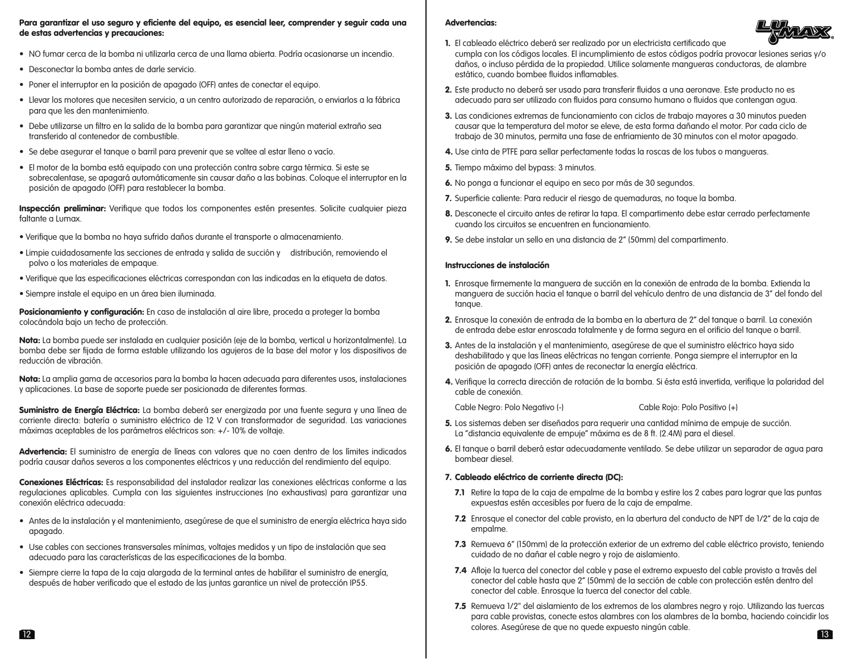# Para garantizar el uso seguro y eficiente del equipo, es esencial leer, comprender y seguir cada una de estas advertencias y precauciones:

- NO fumar cerca de la bomba ni utilizarla cerca de una llama abierta. Podría ocasionarse un incendio.
- Desconectar la bomba antes de darle servicio.
- Poner el interruptor en la posición de apagado (OFF) antes de conectar el equipo.
- Llevar los motores que necesiten servicio, a un centro autorizado de reparación, o enviarlos a la fábrica para que les den mantenimiento.
- Debe utilizarse un filtro en la salida de la bomba para garantizar que ningún material extraño sea transferido al contenedor de combustible.
- Se debe asegurar el tanque o barril para prevenir que se voltee al estar lleno o vacío.
- El motor de la bomba está equipado con una protección contra sobre carga térmica. Si este se sobrecalentase, se apagará automáticamente sin causar daño a las bobinas. Coloque el interruptor en la posición de apagado (OFF) para restablecer la bomba.

Inspección preliminar: Verifique que todos los componentes estén presentes. Solicite cualquier pieza faltante a Lumax.

- Verifique que la bomba no haya sufrido daños durante el transporte o almacenamiento.
- Limpie cuidadosamente las secciones de entrada y salida de succión y distribución, removiendo el polvo o los materiales de empaque.
- Verifique que las especificaciones eléctricas correspondan con las indicadas en la etiqueta de datos.
- Siempre instale el equipo en un área bien iluminada.

Posicionamiento y configuración: En caso de instalación al aire libre, proceda a proteger la bomba colocándola bajo un techo de protección.

Nota: La bomba puede ser instalada en cualquier posición (eje de la bomba, vertical u horizontalmente). La bomba debe ser fijada de forma estable utilizando los agujeros de la base del motor y los dispositivos de reducción de vibración.

Nota: La amplia gama de accesorios para la bomba la hacen adecuada para diferentes usos, instalaciones y aplicaciones. La base de soporte puede ser posicionada de diferentes formas.

Suministro de Energía Eléctrica: La bomba deberá ser energizada por una fuente segura y una línea de corriente directa: batería o suministro eléctrico de 12 V con transformador de seguridad. Las variaciones máximas aceptables de los parámetros eléctricos son: +/- 10% de voltaje.

Advertencia: El suministro de energía de líneas con valores que no caen dentro de los límites indicados podría causar daños severos a los componentes eléctricos y una reducción del rendimiento del equipo.

Conexiones Eléctricas: Es responsabilidad del instalador realizar las conexiones eléctricas conforme a las regulaciones aplicables. Cumpla con las siguientes instrucciones (no exhaustivas) para garantizar una conexión eléctrica adecuada:

- Antes de la instalación y el mantenimiento, asegúrese de que el suministro de energía eléctrica haya sido apagado.
- Use cables con secciones transversales mínimas, voltajes medidos y un tipo de instalación que sea adecuado para las características de las especificaciones de la bomba.
- Siempre cierre la tapa de la caja alargada de la terminal antes de habilitar el suministro de energía, después de haber verificado que el estado de las juntas garantice un nivel de protección IP55.

# Advertencias:



- 1. El cableado eléctrico deberá ser realizado por un electricista certificado que cumpla con los códigos locales. El incumplimiento de estos códigos podría provocar lesiones serias y/o daños, o incluso pérdida de la propiedad. Utilice solamente mangueras conductoras, de alambre estático, cuando bombee fluidos inflamables.
- 2. Este producto no deberá ser usado para transferir fluidos a una aeronave. Este producto no es adecuado para ser utilizado con fluidos para consumo humano o fluidos que contengan agua.
- 3. Las condiciones extremas de funcionamiento con ciclos de trabajo mayores a 30 minutos pueden causar que la temperatura del motor se eleve, de esta forma dañando el motor. Por cada ciclo de trabajo de 30 minutos, permita una fase de enfriamiento de 30 minutos con el motor apagado.
- 4. Use cinta de PTFE para sellar perfectamente todas la roscas de los tubos o mangueras.
- 5. Tiempo máximo del bypass: 3 minutos.
- 6. No ponga a funcionar el equipo en seco por más de 30 segundos.
- 7. Superficie caliente: Para reducir el riesgo de quemaduras, no toque la bomba.
- 8. Desconecte el circuito antes de retirar la tapa. El compartimento debe estar cerrado perfectamente cuando los circuitos se encuentren en funcionamiento.
- 9. Se debe instalar un sello en una distancia de 2" (50mm) del compartimento.

# Instrucciones de instalación

- 1. Enrosque firmemente la manguera de succión en la conexión de entrada de la bomba. Extienda la manguera de succión hacia el tanque o barril del vehículo dentro de una distancia de 3" del fondo del tanque.
- 2. Enrosque la conexión de entrada de la bomba en la abertura de 2" del tanque o barril. La conexión de entrada debe estar enroscada totalmente y de forma segura en el orificio del tanque o barril.
- 3. Antes de la instalación y el mantenimiento, asegúrese de que el suministro eléctrico haya sido deshabilitado y que las líneas eléctricas no tengan corriente. Ponga siempre el interruptor en la posición de apagado (OFF) antes de reconectar la energía eléctrica.
- 4. Verifique la correcta dirección de rotación de la bomba. Si ésta está invertida, verifique la polaridad del cable de conexión.

Cable Negro: Polo Negativo (-) Cable Rojo: Polo Positivo (+)

- 5. Los sistemas deben ser diseñados para requerir una cantidad mínima de empuje de succión. La "distancia equivalente de empuje" máxima es de 8 ft. (2.4M) para el diesel.
- 6. El tanque o barril deberá estar adecuadamente ventilado. Se debe utilizar un separador de agua para bombear diesel.

# 7. Cableado eléctrico de corriente directa (DC):

- 7.1 Retire la tapa de la caja de empalme de la bomba y estire los 2 cabes para lograr que las puntas expuestas estén accesibles por fuera de la caja de empalme.
- 7.2 Enrosque el conector del cable provisto, en la abertura del conducto de NPT de 1/2" de la caja de empalme.
- 7.3 Remueva 6" (150mm) de la protección exterior de un extremo del cable eléctrico provisto, teniendo cuidado de no dañar el cable negro y rojo de aislamiento.
- 7.4 Afloje la tuerca del conector del cable y pase el extremo expuesto del cable provisto a través del conector del cable hasta que 2" (50mm) de la sección de cable con protección estén dentro del conector del cable. Enrosque la tuerca del conector del cable.
- $12$  13 7.5 Remueva 1/2" del aislamiento de los extremos de los alambres negro y rojo. Utilizando las tuercas para cable provistas, conecte estos alambres con los alambres de la bomba, haciendo coincidir los colores. Asegúrese de que no quede expuesto ningún cable.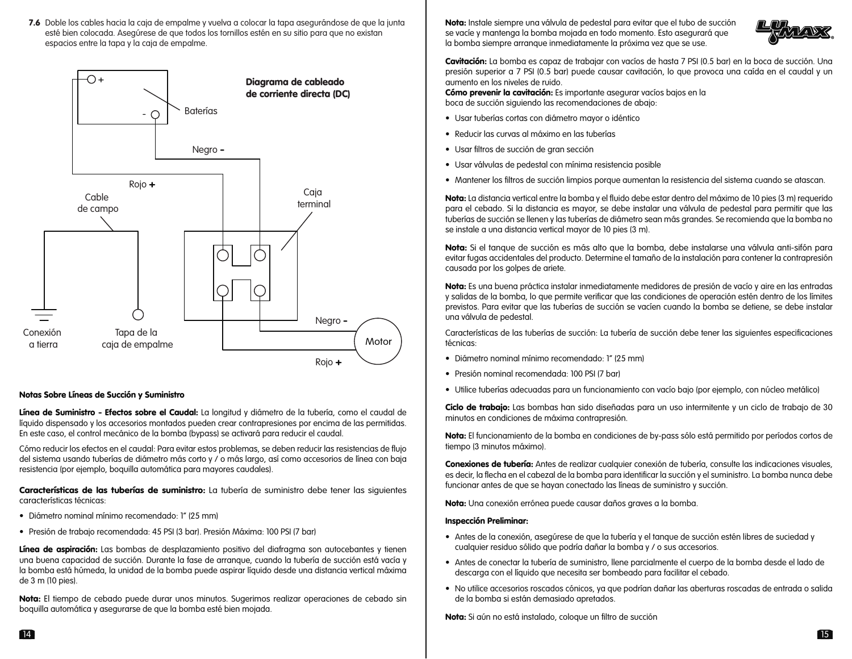7.6 Doble los cables hacia la caja de empalme y vuelva a colocar la tapa asegurándose de que la junta esté bien colocada. Asegúrese de que todos los tornillos estén en su sitio para que no existan espacios entre la tapa y la caja de empalme.



# Notas Sobre Líneas de Succión y Suministro

Línea de Suministro - Efectos sobre el Caudal: La longitud y diámetro de la tubería, como el caudal de líquido dispensado y los accesorios montados pueden crear contrapresiones por encima de las permitidas. En este caso, el control mecánico de la bomba (bypass) se activará para reducir el caudal.

Cómo reducir los efectos en el caudal: Para evitar estos problemas, se deben reducir las resistencias de flujo del sistema usando tuberías de diámetro más corto y / o más largo, así como accesorios de línea con baja resistencia (por ejemplo, boquilla automática para mayores caudales).

Características de las tuberías de suministro: La tubería de suministro debe tener las siguientes características técnicas:

- Diámetro nominal mínimo recomendado: 1" (25 mm)
- Presión de trabajo recomendada: 45 PSI (3 bar). Presión Máxima: 100 PSI (7 bar)

Línea de aspiración: Las bombas de desplazamiento positivo del diafragma son autocebantes y tienen una buena capacidad de succión. Durante la fase de arranque, cuando la tubería de succión está vacía y la bomba está húmeda, la unidad de la bomba puede aspirar líquido desde una distancia vertical máxima de 3 m (10 pies).

Nota: El tiempo de cebado puede durar unos minutos. Sugerimos realizar operaciones de cebado sin boquilla automática y asegurarse de que la bomba esté bien mojada.

Nota: Instale siempre una válvula de pedestal para evitar que el tubo de succión se vacíe y mantenga la bomba mojada en todo momento. Esto asegurará que la bomba siempre arranque inmediatamente la próxima vez que se use.



Cavitación: La bomba es capaz de trabajar con vacíos de hasta 7 PSI (0.5 bar) en la boca de succión. Una presión superior a 7 PSI (0.5 bar) puede causar cavitación, lo que provoca una caída en el caudal y un aumento en los niveles de ruido.

Cómo prevenir la cavitación: Es importante asegurar vacíos baios en la boca de succión siguiendo las recomendaciones de abajo:

- Usar tuberías cortas con diámetro mayor o idéntico
- Reducir las curvas al máximo en las tuberías
- Usar filtros de succión de gran sección
- Usar válvulas de pedestal con mínima resistencia posible
- Mantener los filtros de succión limpios porque aumentan la resistencia del sistema cuando se atascan.

Nota: La distancia vertical entre la bomba y el fluido debe estar dentro del máximo de 10 pies (3 m) requerido para el cebado. Si la distancia es mayor, se debe instalar una válvula de pedestal para permitir que las tuberías de succión se llenen y las tuberías de diámetro sean más grandes. Se recomienda que la bomba no se instale a una distancia vertical mayor de 10 pies (3 m).

Nota: Si el tanque de succión es más alto que la bomba, debe instalarse una válvula anti-sifón para evitar fugas accidentales del producto. Determine el tamaño de la instalación para contener la contrapresión causada por los golpes de ariete.

Nota: Es una buena práctica instalar inmediatamente medidores de presión de vacío y aire en las entradas y salidas de la bomba, lo que permite verificar que las condiciones de operación estén dentro de los límites previstos. Para evitar que las tuberías de succión se vacíen cuando la bomba se detiene, se debe instalar una válvula de pedestal.

Características de las tuberías de succión: La tubería de succión debe tener las siguientes especificaciones técnicas:

- Diámetro nominal mínimo recomendado: 1" (25 mm)
- Presión nominal recomendada: 100 PSI (7 bar)
- Utilice tuberías adecuadas para un funcionamiento con vacío bajo (por ejemplo, con núcleo metálico)

Ciclo de trabajo: Las bombas han sido diseñadas para un uso intermitente y un ciclo de trabajo de 30 minutos en condiciones de máxima contrapresión.

Nota: El funcionamiento de la bomba en condiciones de by-pass sólo está permitido por períodos cortos de tiempo (3 minutos máximo).

Conexiones de tubería: Antes de realizar cualquier conexión de tubería, consulte las indicaciones visuales, es decir, la flecha en el cabezal de la bomba para identificar la succión y el suministro. La bomba nunca debe funcionar antes de que se hayan conectado las líneas de suministro y succión.

Nota: Una conexión errónea puede causar daños graves a la bomba.

# Inspección Preliminar:

- Antes de la conexión, asegúrese de que la tubería y el tanque de succión estén libres de suciedad y cualquier residuo sólido que podría dañar la bomba y / o sus accesorios.
- Antes de conectar la tubería de suministro, llene parcialmente el cuerpo de la bomba desde el lado de descarga con el líquido que necesita ser bombeado para facilitar el cebado.
- No utilice accesorios roscados cónicos, ya que podrían dañar las aberturas roscadas de entrada o salida de la bomba si están demasiado apretados.

Nota: Si aún no está instalado, coloque un filtro de succión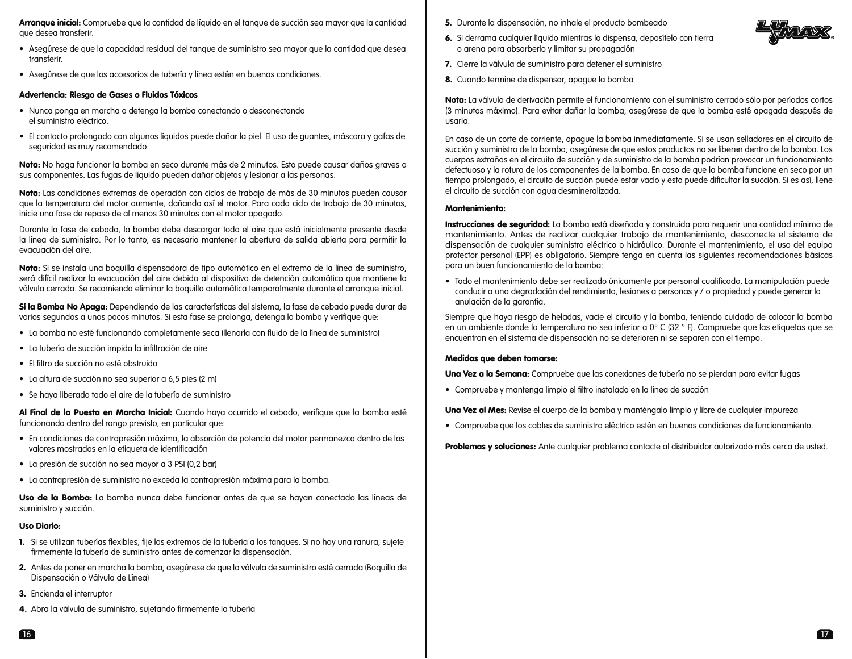Arranque inicial: Compruebe que la cantidad de líquido en el tanque de succión sea mayor que la cantidad que desea transferir.

- Asegúrese de que la capacidad residual del tanque de suministro sea mayor que la cantidad que desea transferir.
- Asegúrese de que los accesorios de tubería y línea estén en buenas condiciones.

#### Advertencia: Riesgo de Gases o Fluidos Tóxicos

- Nunca ponga en marcha o detenga la bomba conectando o desconectando el suministro eléctrico.
- El contacto prolongado con algunos líquidos puede dañar la piel. El uso de guantes, máscara y gafas de seguridad es muy recomendado.

Nota: No haga funcionar la bomba en seco durante más de 2 minutos. Esto puede causar daños graves a sus componentes. Las fugas de líquido pueden dañar objetos y lesionar a las personas.

Nota: Las condiciones extremas de operación con ciclos de trabajo de más de 30 minutos pueden causar que la temperatura del motor aumente, dañando así el motor. Para cada ciclo de trabajo de 30 minutos, inicie una fase de reposo de al menos 30 minutos con el motor apagado.

Durante la fase de cebado, la bomba debe descargar todo el aire que está inicialmente presente desde la línea de suministro. Por lo tanto, es necesario mantener la abertura de salida abierta para permitir la evacuación del aire.

Nota: Si se instala una boquilla dispensadora de tipo automático en el extremo de la línea de suministro, será difícil realizar la evacuación del aire debido al dispositivo de detención automático que mantiene la válvula cerrada. Se recomienda eliminar la boquilla automática temporalmente durante el arranque inicial.

Si la Bomba No Apaga: Dependiendo de las características del sistema, la fase de cebado puede durar de varios segundos a unos pocos minutos. Si esta fase se prolonga, detenga la bomba y verifique que:

- La bomba no esté funcionando completamente seca (llenarla con fluido de la línea de suministro)
- La tubería de succión impida la infiltración de aire
- El filtro de succión no esté obstruido
- La altura de succión no sea superior a 6,5 pies (2 m)
- Se haya liberado todo el aire de la tubería de suministro

Al Final de la Puesta en Marcha Inicial: Cuando haya ocurrido el cebado, verifique que la bomba esté funcionando dentro del rango previsto, en particular que:

- En condiciones de contrapresión máxima, la absorción de potencia del motor permanezca dentro de los valores mostrados en la etiqueta de identificación
- La presión de succión no sea mayor a 3 PSI (0,2 bar)
- La contrapresión de suministro no exceda la contrapresión máxima para la bomba.

Uso de la Bomba: La bomba nunca debe funcionar antes de que se hayan conectado las líneas de suministro y succión.

# Uso Diario:

- 1. Si se utilizan tuberías flexibles, fije los extremos de la tubería a los tanques. Si no hay una ranura, sujete firmemente la tubería de suministro antes de comenzar la dispensación.
- 2. Antes de poner en marcha la bomba, asegúrese de que la válvula de suministro esté cerrada (Boquilla de Dispensación o Válvula de Línea)
- 3. Encienda el interruptor
- 4. Abra la válvula de suministro, sujetando firmemente la tubería
- 5. Durante la dispensación, no inhale el producto bombeado
- 6. Si derrama cualquier líquido mientras lo dispensa, deposítelo con tierra o arena para absorberlo y limitar su propagación
- 7. Cierre la válvula de suministro para detener el suministro
- 8. Cuando termine de dispensar, apague la bomba

Nota: La válvula de derivación permite el funcionamiento con el suministro cerrado sólo por períodos cortos (3 minutos máximo). Para evitar dañar la bomba, asegúrese de que la bomba esté apagada después de usarla.

En caso de un corte de corriente, apague la bomba inmediatamente. Si se usan selladores en el circuito de succión y suministro de la bomba, asegúrese de que estos productos no se liberen dentro de la bomba. Los cuerpos extraños en el circuito de succión y de suministro de la bomba podrían provocar un funcionamiento defectuoso y la rotura de los componentes de la bomba. En caso de que la bomba funcione en seco por un tiempo prolongado, el circuito de succión puede estar vacío y esto puede dificultar la succión. Si es así, llene el circuito de succión con agua desmineralizada.

### Mantenimiento:

Instrucciones de seguridad: La bomba está diseñada y construida para requerir una cantidad mínima de mantenimiento. Antes de realizar cualquier trabajo de mantenimiento, desconecte el sistema de dispensación de cualquier suministro eléctrico o hidráulico. Durante el mantenimiento, el uso del equipo protector personal (EPP) es obligatorio. Siempre tenga en cuenta las siguientes recomendaciones básicas para un buen funcionamiento de la bomba:

• Todo el mantenimiento debe ser realizado únicamente por personal cualificado. La manipulación puede conducir a una degradación del rendimiento, lesiones a personas y / o propiedad y puede generar la anulación de la garantía.

Siempre que haya riesgo de heladas, vacíe el circuito y la bomba, teniendo cuidado de colocar la bomba en un ambiente donde la temperatura no sea inferior a 0° C (32 ° F). Compruebe que las etiquetas que se encuentran en el sistema de dispensación no se deterioren ni se separen con el tiempo.

#### Medidas que deben tomarse:

Una Vez a la Semana: Compruebe que las conexiones de tubería no se pierdan para evitar fugas

• Compruebe y mantenga limpio el filtro instalado en la línea de succión

Una Vez al Mes: Revise el cuerpo de la bomba y manténgalo limpio y libre de cualquier impureza

• Compruebe que los cables de suministro eléctrico estén en buenas condiciones de funcionamiento.

Problemas y soluciones: Ante cualquier problema contacte al distribuidor autorizado más cerca de usted.



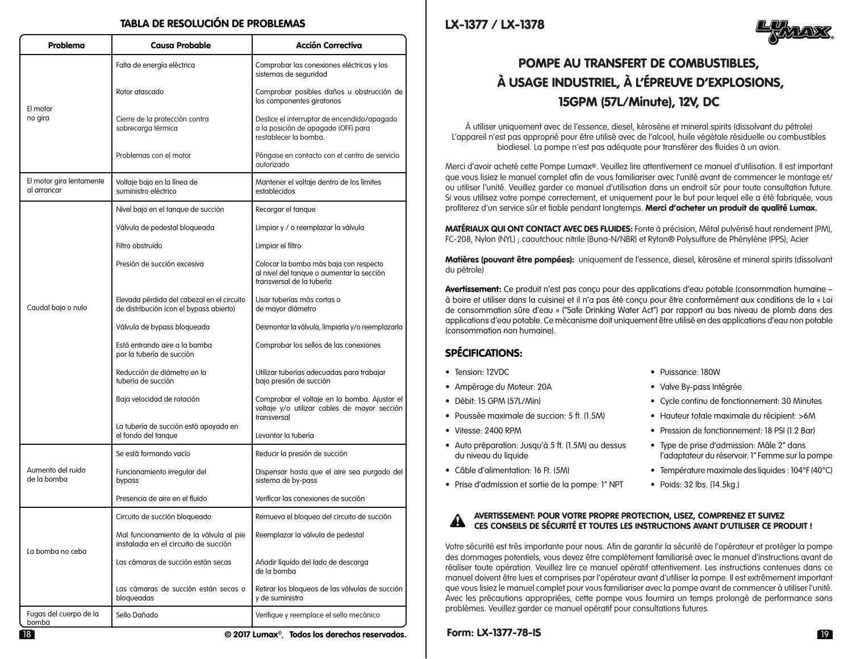# TABLA DE RESOLUCIÓN DE PROBLEMAS

| Problema                                | <b>Causa Probable</b>                                                                 | <b>Acción Correctiva</b>                                                                                         |  |
|-----------------------------------------|---------------------------------------------------------------------------------------|------------------------------------------------------------------------------------------------------------------|--|
| El motor<br>no gira                     | Falta de energía eléctrica                                                            | Comprobar las conexiones eléctricas y los<br>sistemas de seguridad                                               |  |
|                                         | Rotor atascado                                                                        | Comprobar posibles daños u obstrucción de<br>los componentes giratorios                                          |  |
|                                         | Cierre de la protección contra<br>sobrecarga térmica                                  | Deslice el interruptor de encendido/apagado<br>a la posición de apagado (OFF) para<br>restablecer la bomba.      |  |
|                                         | Problemas con el motor                                                                | Póngase en contacto con el centro de servicio<br>autorizado                                                      |  |
| El motor gira lentamente<br>al arrancar | Voltaje bajo en la línea de<br>suministro eléctrico                                   | Mantener el voltaje dentro de los límites<br>establecidos                                                        |  |
| Caudal bajo o nulo                      | Nivel bajo en el tanque de succión                                                    | Recargar el tanque                                                                                               |  |
|                                         | Válvula de pedestal bloqueada                                                         | Limpiar y / o reemplazar la válvula                                                                              |  |
|                                         | Filtro obstruido                                                                      | Limpiar el filtro                                                                                                |  |
|                                         | Presión de succión excesiva                                                           | Colocar la bomba más baja con respecto<br>al nivel del tanque o aumentar la sección<br>transversal de la tubería |  |
|                                         | Elevada pérdida del cabezal en el circuito<br>de distribución (con el bypass abierto) | Usar tuberías más cortas o<br>de mayor diámetro                                                                  |  |
|                                         | Válvula de bypass bloqueada                                                           | Desmontar la válvula, limpiarla y/o reemplazarla                                                                 |  |
|                                         | Está entrando aire a la bomba<br>por la tubería de succión                            | Comprobar los sellos de las conexiones                                                                           |  |
|                                         | Reducción de diámetro en la<br>tubería de succión                                     | Utilizar tuberías adecuadas para trabajar<br>bajo presión de succión                                             |  |
|                                         | Baja velocidad de rotación                                                            | Comprobar el voltaje en la bomba. Ajustar el<br>voltaje y/o utilizar cables de mayor sección<br>transversal      |  |
|                                         | La tubería de succión está apoyada en<br>el fondo del tanque                          | Levantar la tubería                                                                                              |  |
| Aumento del ruido<br>de la bomba        | Se está formando vacío                                                                | Reducir la presión de succión                                                                                    |  |
|                                         | Funcionamiento irregular del<br>bypass                                                | Dispensar hasta que el aire sea purgado del<br>sistema de by-pass                                                |  |
|                                         | Presencia de aire en el fluido                                                        | Verificar las conexiones de succión                                                                              |  |
| La bomba no ceba                        | Circuito de succión bloqueado                                                         | Remueva el bloqueo del circuito de succión                                                                       |  |
|                                         | Mal funcionamiento de la válvula al pie<br>instalada en el circuito de succión        | Reemplazar la válvula de pedestal                                                                                |  |
|                                         | Las cámaras de succión están secas                                                    | Añadir líquido del lado de descarga<br>de la bomba                                                               |  |
|                                         | Las cámaras de succión están secas o<br>bloqueadas                                    | Retirar los bloqueos de las válvulas de succión<br>y de suministro                                               |  |
| Fugas del cuerpo de la<br>bomba         | Sello Dañado                                                                          | Verifique y reemplace el sello mecánico                                                                          |  |

18 19 © 2017 Lumax®, Todos los derechos reservados. Form: LX-1377-78-IS

LX-1377 / LX-1378



# POMPE AU TRANSFERT DE COMBUSTIBLES, À USAGE INDUSTRIEL, À L'ÉPREUVE D'EXPLOSIONS, 15GPM (57L/Minute), 12V, DC

À utiliser uniquement avec de l'essence, diesel, kérosène et mineral spirits (dissolvant du pétrole) L'appareil n'est pas approprié pour être utilisé avec de l'alcool, huile végétale résiduelle ou combustibles biodiesel. La pompe n'est pas adéquate pour transférer des fluides à un avion.

Merci d'avoir acheté cette Pompe Lumax®. Veuillez lire attentivement ce manuel d'utilisation. Il est important que vous lisiez le manuel complet afin de vous familiariser avec l'unité avant de commencer le montage et/ ou utiliser l'unité. Veuillez garder ce manuel d'utilisation dans un endroit sûr pour toute consultation future. Si vous utilisez votre pompe correctement, et uniquement pour le but pour lequel elle a été fabriquée, vous profiterez d'un service sûr et fiable pendant longtemps. Merci d'acheter un produit de qualité Lumax.

MATÉRIAUX QUI ONT CONTACT AVEC DES FLUIDES: Fonte à précision, Métal pulvérisé haut rendement (PM), FC-208, Nylon (NYL) ; caoutchouc nitrile (Buna-N/NBR) et Ryton® Polysulfure de Phénylène (PPS); Acier

Matières (pouvant être pompées): uniquement de l'essence, diesel, kérosène et mineral spirits (dissolvant du pétrole)

Avertissement: Ce produit n'est pas conçu pour des applications d'eau potable (consommation humaine à boire et utiliser dans la cuisine) et il n'a pas été conçu pour être conformément aux conditions de la « Loi de consommation sûre d'eau » ("Safe Drinking Water Act") par rapport au bas niveau de plomb dans des applications d'eau potable. Ce mécanisme doit uniquement être utilisé en des applications d'eau non potable (consommation non humaine).

# SPÉCIFICATIONS:

- 
- Ampérage du Moteur: 20A Valve By-pass Intégrée
- 
- 
- 
- Auto préparation: Jusqu'à 5 ft. (1.5M) au dessus Type de prise d'admission: Mâle 2" dans
- 
- Prise d'admission et sortie de la pompe: 1" NPT Poids: 32 lbs. (14.5kg.)
- Tension: 12VDC Puissance: 180W
	-
- Débit: 15 GPM (57L/Min) Cycle continu de fonctionnement: 30 Minutes
- Poussée maximale de succion: 5 ft. (1.5M) Hauteur totale maximale du récipient: >6M
- Vitesse: 2400 RPM Pression de fonctionnement: 18 PSI (1.2 Bar)
	- l'adaptateur du réservoir. 1" Femme sur la pompe
- Câble d'alimentation: 16 Ft. (5M) Température maximale des liquides : 104°F (40°C)
	-

#### AVERTISSEMENT: POUR VOTRE PROPRE PROTECTION, LISEZ, COMPRENEZ ET SUIVEZ CES CONSEILS DE SÉCURITÉ ET TOUTES LES INSTRUCTIONS AVANT D'UTILISER CE PRODUIT !  $\blacktriangle$

Votre sécurité est très importante pour nous. Afin de garantir la sécurité de l'opérateur et protéger la pompe des dommages potentiels, vous devez être complètement familiarisé avec le manuel d'instructions avant de réaliser toute opération. Veuillez lire ce manuel opératif attentivement. Les instructions contenues dans ce manuel doivent être lues et comprises par l'opérateur avant d'utiliser la pompe. Il est extrêmement important que vous lisiez le manuel complet pour vous familiariser avec la pompe avant de commencer à utiliser l'unité. Avec les précautions appropriées, cette pompe vous fournira un temps prolongé de performance sans problèmes. Veuillez garder ce manuel opératif pour consultations futures.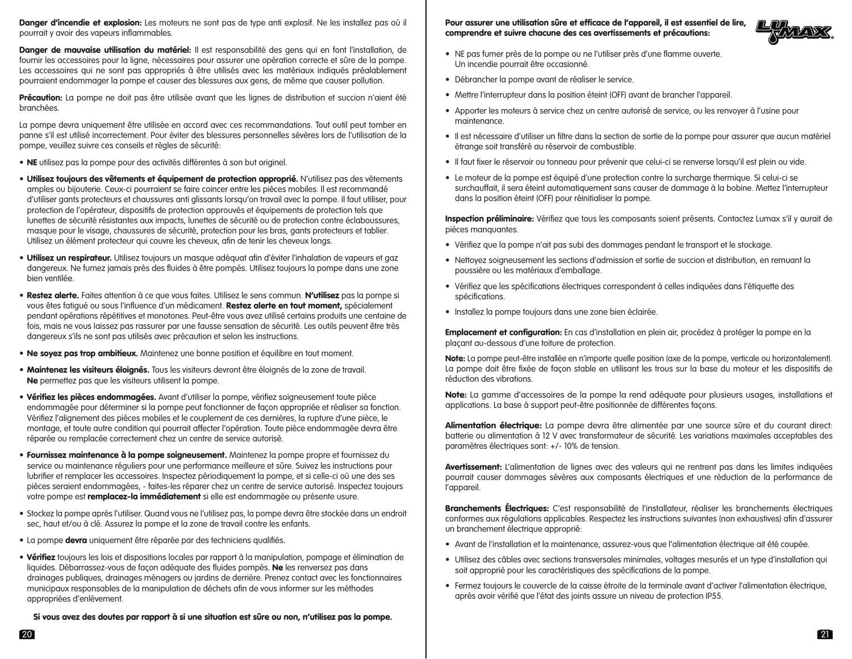Danger d'incendie et explosion: Les moteurs ne sont pas de type anti explosif. Ne les installez pas où il pourrait y avoir des vapeurs inflammables.

Danger de mauvaise utilisation du matériel: Il est responsabilité des gens qui en font l'installation, de fournir les accessoires pour la ligne, nécessaires pour assurer une opération correcte et sûre de la pompe. Les accessoires qui ne sont pas appropriés à être utilisés avec les matériaux indiqués préalablement pourraient endommager la pompe et causer des blessures aux gens, de même que causer pollution.

Précaution: La pompe ne doit pas être utilisée avant que les lignes de distribution et succion n'aient été branchées.

La pompe devra uniquement être utilisée en accord avec ces recommandations. Tout outil peut tomber en panne s'il est utilisé incorrectement. Pour éviter des blessures personnelles sévères lors de l'utilisation de la pompe, veuillez suivre ces conseils et règles de sécurité:

- NE utilisez pas la pompe pour des activités différentes à son but originel.
- Utilisez toujours des vêtements et équipement de protection approprié. N'utilisez pas des vêtements amples ou bijouterie. Ceux-ci pourraient se faire coincer entre les pièces mobiles. Il est recommandé d'utiliser gants protecteurs et chaussures anti glissants lorsqu'on travail avec la pompe. Il faut utiliser, pour protection de l'opérateur, dispositifs de protection approuvés et équipements de protection tels que lunettes de sécurité résistantes aux impacts, lunettes de sécurité ou de protection contre éclaboussures, masque pour le visage, chaussures de sécurité, protection pour les bras, gants protecteurs et tablier. Utilisez un élément protecteur qui couvre les cheveux, afin de tenir les cheveux longs.
- Utilisez un respirateur. Utilisez toujours un masque adéquat afin d'éviter l'inhalation de vapeurs et gaz dangereux. Ne fumez jamais près des fluides à être pompés. Utilisez toujours la pompe dans une zone bien ventilée.
- Restez alerte. Faites attention à ce que vous faites. Utilisez le sens commun. N'utilisez pas la pompe si vous êtes fatigué ou sous l'influence d'un médicament. Restez alerte en tout moment, spécialement pendant opérations répétitives et monotones. Peut-être vous avez utilisé certains produits une centaine de fois, mais ne vous laissez pas rassurer par une fausse sensation de sécurité. Les outils peuvent être très dangereux s'ils ne sont pas utilisés avec précaution et selon les instructions.
- Ne soyez pas trop ambitieux. Maintenez une bonne position et équilibre en tout moment.
- Maintenez les visiteurs éloignés. Tous les visiteurs devront être éloignés de la zone de travail. Ne permettez pas que les visiteurs utilisent la pompe.
- Vérifiez les pièces endommagées. Avant d'utiliser la pompe, vérifiez soigneusement toute pièce endommagée pour déterminer si la pompe peut fonctionner de façon appropriée et réaliser sa fonction. Vérifiez l'alignement des pièces mobiles et le couplement de ces dernières, la rupture d'une pièce, le montage, et toute autre condition qui pourrait affecter l'opération. Toute pièce endommagée devra être réparée ou remplacée correctement chez un centre de service autorisé.
- Fournissez maintenance à la pompe soigneusement. Maintenez la pompe propre et fournissez du service ou maintenance réguliers pour une performance meilleure et sûre. Suivez les instructions pour lubrifier et remplacer les accessoires. Inspectez périodiquement la pompe, et si celle-ci où une des ses pièces seraient endommagées, - faites-les réparer chez un centre de service autorisé. Inspectez toujours votre pompe est remplacez-la immédiatement si elle est endommagée ou présente usure.
- Stockez la pompe après l'utiliser. Quand vous ne l'utilisez pas, la pompe devra être stockée dans un endroit sec, haut et/ou à clé. Assurez la pompe et la zone de travail contre les enfants.
- La pompe devra uniquement être réparée par des techniciens qualifiés.
- Vérifiez toujours les lois et dispositions locales par rapport à la manipulation, pompage et élimination de liquides. Débarrassez-vous de façon adéquate des fluides pompés. Ne les renversez pas dans drainages publiques, drainages ménagers ou jardins de derrière. Prenez contact avec les fonctionnaires municipaux responsables de la manipulation de déchets afin de vous informer sur les méthodes appropriées d'enlèvement.

Si vous avez des doutes par rapport à si une situation est sûre ou non, n'utilisez pas la pompe.

Pour assurer une utilisation sûre et efficace de l'appareil, il est essentiel de lire, comprendre et suivre chacune des ces avertissements et précautions:



- NE pas fumer près de la pompe ou ne l'utiliser près d'une flamme ouverte. Un incendie pourrait être occasionné.
- Débrancher la pompe avant de réaliser le service.
- Mettre l'interrupteur dans la position éteint (OFF) avant de brancher l'appareil.
- Apporter les moteurs à service chez un centre autorisé de service, ou les renvoyer à l'usine pour maintenance.
- Il est nécessaire d'utiliser un filtre dans la section de sortie de la pompe pour assurer que aucun matériel étrange soit transféré au réservoir de combustible.
- Il faut fixer le réservoir ou tonneau pour prévenir que celui-ci se renverse lorsqu'il est plein ou vide.
- Le moteur de la pompe est équipé d'une protection contre la surcharge thermique. Si celui-ci se surchauffait, il sera éteint automatiquement sans causer de dommage à la bobine. Mettez l'interrupteur dans la position éteint (OFF) pour réinitialiser la pompe.

Inspection préliminaire: Vérifiez que tous les composants soient présents. Contactez Lumax s'il y aurait de pièces manquantes.

- Vérifiez que la pompe n'ait pas subi des dommages pendant le transport et le stockage.
- Nettoyez soigneusement les sections d'admission et sortie de succion et distribution, en remuant la poussière ou les matériaux d'emballage.
- Vérifiez que les spécifications électriques correspondent à celles indiquées dans l'étiquette des spécifications.
- Installez la pompe toujours dans une zone bien éclairée.

Emplacement et configuration: En cas d'installation en plein air, procédez à protéger la pompe en la plaçant au-dessous d'une toiture de protection.

Note: La pompe peut-être installée en n'importe quelle position (axe de la pompe, verticale ou horizontalement). La pompe doit être fixée de façon stable en utilisant les trous sur la base du moteur et les dispositifs de réduction des vibrations.

Note: La gamme d'accessoires de la pompe la rend adéquate pour plusieurs usages, installations et applications. La base à support peut-être positionnée de différentes façons.

Alimentation électrique: La pompe devra être alimentée par une source sûre et du courant direct: batterie ou alimentation à 12 V avec transformateur de sécurité. Les variations maximales acceptables des paramètres électriques sont: +/- 10% de tension.

Avertissement: L'alimentation de lignes avec des valeurs qui ne rentrent pas dans les limites indiquées pourrait causer dommages sévères aux composants électriques et une réduction de la performance de l'appareil.

Branchements Électriques: C'est responsabilité de l'installateur, réaliser les branchements électriques conformes aux régulations applicables. Respectez les instructions suivantes (non exhaustives) afin d'assurer un branchement électrique approprié:

- Avant de l'installation et la maintenance, assurez-vous que l'alimentation électrique ait été coupée.
- Utilisez des câbles avec sections transversales minimales, voltages mesurés et un type d'installation qui soit approprié pour les caractéristiques des spécifications de la pompe.
- Fermez toujours le couvercle de la caisse étroite de la terminale avant d'activer l'alimentation électrique, après avoir vérifié que l'état des joints assure un niveau de protection IP55.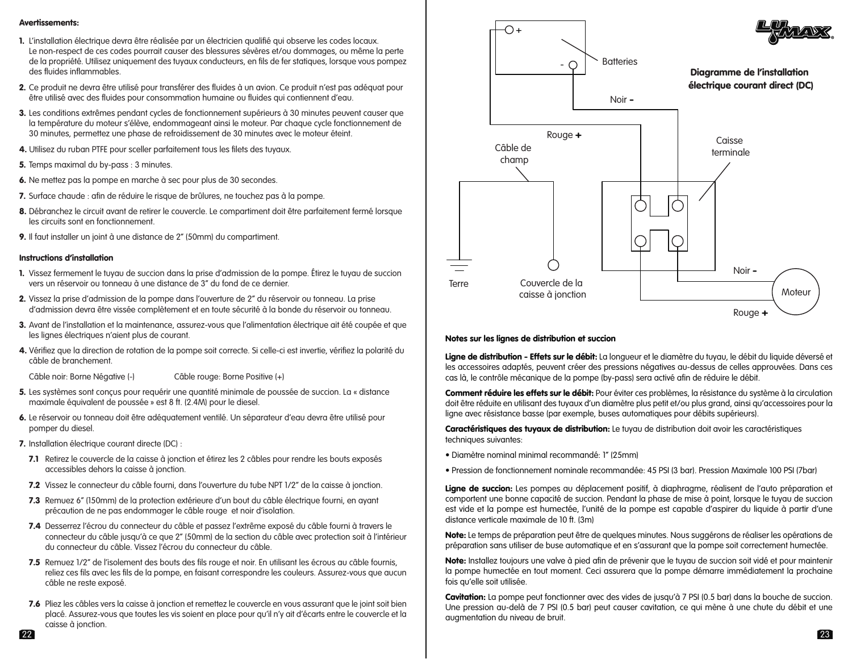# Avertissements:

- 1. L'installation électrique devra être réalisée par un électricien qualifié qui observe les codes locaux. Le non-respect de ces codes pourrait causer des blessures sévères et/ou dommages, ou même la perte de la propriété. Utilisez uniquement des tuyaux conducteurs, en fils de fer statiques, lorsque vous pompez des fluides inflammables.
- 2. Ce produit ne devra être utilisé pour transférer des fluides à un avion. Ce produit n'est pas adéquat pour être utilisé avec des fluides pour consommation humaine ou fluides qui contiennent d'eau.
- 3. Les conditions extrêmes pendant cycles de fonctionnement supérieurs à 30 minutes peuvent causer que la température du moteur s'élève, endommageant ainsi le moteur. Par chaque cycle fonctionnement de 30 minutes, permettez une phase de refroidissement de 30 minutes avec le moteur éteint.
- 4. Utilisez du ruban PTFE pour sceller parfaitement tous les filets des tuyaux.
- 5. Temps maximal du by-pass : 3 minutes.
- 6. Ne mettez pas la pompe en marche à sec pour plus de 30 secondes.
- 7. Surface chaude : afin de réduire le risque de brûlures, ne touchez pas à la pompe.
- 8. Débranchez le circuit avant de retirer le couvercle. Le compartiment doit être parfaitement fermé lorsque les circuits sont en fonctionnement.
- 9. Il faut installer un joint à une distance de 2" (50mm) du compartiment.

### Instructions d'installation

- 1. Vissez fermement le tuyau de succion dans la prise d'admission de la pompe. Étirez le tuyau de succion vers un réservoir ou tonneau à une distance de 3" du fond de ce dernier.
- 2. Vissez la prise d'admission de la pompe dans l'ouverture de 2" du réservoir ou tonneau. La prise d'admission devra être vissée complètement et en toute sécurité à la bonde du réservoir ou tonneau.
- 3. Avant de l'installation et la maintenance, assurez-vous que l'alimentation électrique ait été coupée et que les lignes électriques n'aient plus de courant.
- 4. Vérifiez que la direction de rotation de la pompe soit correcte. Si celle-ci est invertie, vérifiez la polarité du câble de branchement.
- Câble noir: Borne Négative (-) Câble rouge: Borne Positive (+)
- 5. Les systèmes sont conçus pour requérir une quantité minimale de poussée de succion. La « distance maximale équivalent de poussée » est 8 ft. (2.4M) pour le diesel.
- 6. Le réservoir ou tonneau doit être adéquatement ventilé. Un séparateur d'eau devra être utilisé pour pomper du diesel.
- 7. Installation électrique courant directe (DC) :
- 7.1 Retirez le couvercle de la caisse à jonction et étirez les 2 câbles pour rendre les bouts exposés accessibles dehors la caisse à jonction.
- 7.2 Vissez le connecteur du câble fourni, dans l'ouverture du tube NPT 1/2" de la caisse à jonction.
- 7.3 Remuez 6" (150mm) de la protection extérieure d'un bout du câble électrique fourni, en ayant précaution de ne pas endommager le câble rouge et noir d'isolation.
- 7.4 Desserrez l'écrou du connecteur du câble et passez l'extrême exposé du câble fourni à travers le connecteur du câble jusqu'à ce que 2" (50mm) de la section du câble avec protection soit à l'intérieur du connecteur du câble. Vissez l'écrou du connecteur du câble.
- 7.5 Remuez 1/2" de l'isolement des bouts des fils rouge et noir. En utilisant les écrous au câble fournis, reliez ces fils avec les fils de la pompe, en faisant correspondre les couleurs. Assurez-vous que aucun câble ne reste exposé.
- 7.6 Pliez les câbles vers la caisse à jonction et remettez le couvercle en vous assurant que le joint soit bien placé. Assurez-vous que toutes les vis soient en place pour qu'il n'y ait d'écarts entre le couvercle et la caisse à jonction.



#### Notes sur les lignes de distribution et succion

Ligne de distribution - Effets sur le débit: La longueur et le diamètre du tuyau, le débit du liquide déversé et les accessoires adaptés, peuvent créer des pressions négatives au-dessus de celles approuvées. Dans ces cas là, le contrôle mécanique de la pompe (by-pass) sera activé afin de réduire le débit.

Comment réduire les effets sur le débit: Pour éviter ces problèmes, la résistance du système à la circulation doit être réduite en utilisant des tuyaux d'un diamètre plus petit et/ou plus grand, ainsi qu'accessoires pour la ligne avec résistance basse (par exemple, buses automatiques pour débits supérieurs).

Caractéristiques des tuyaux de distribution: Le tuyau de distribution doit avoir les caractéristiques techniques suivantes:

- Diamètre nominal minimal recommandé: 1" (25mm)
- Pression de fonctionnement nominale recommandée: 45 PSI (3 bar). Pression Maximale 100 PSI (7bar)

Ligne de succion: Les pompes au déplacement positif, à diaphragme, réalisent de l'auto préparation et comportent une bonne capacité de succion. Pendant la phase de mise à point, lorsque le tuyau de succion est vide et la pompe est humectée, l'unité de la pompe est capable d'aspirer du liquide à partir d'une distance verticale maximale de 10 ft. (3m)

Note: Le temps de préparation peut être de quelques minutes. Nous suggérons de réaliser les opérations de préparation sans utiliser de buse automatique et en s'assurant que la pompe soit correctement humectée.

Note: Installez toujours une valve à pied afin de prévenir que le tuyau de succion soit vidé et pour maintenir la pompe humectée en tout moment. Ceci assurera que la pompe démarre immédiatement la prochaine fois qu'elle soit utilisée.

Cavitation: La pompe peut fonctionner avec des vides de jusqu'à 7 PSI (0.5 bar) dans la bouche de succion. Une pression au-delà de 7 PSI (0.5 bar) peut causer cavitation, ce qui mène à une chute du débit et une augmentation du niveau de bruit.

 $22$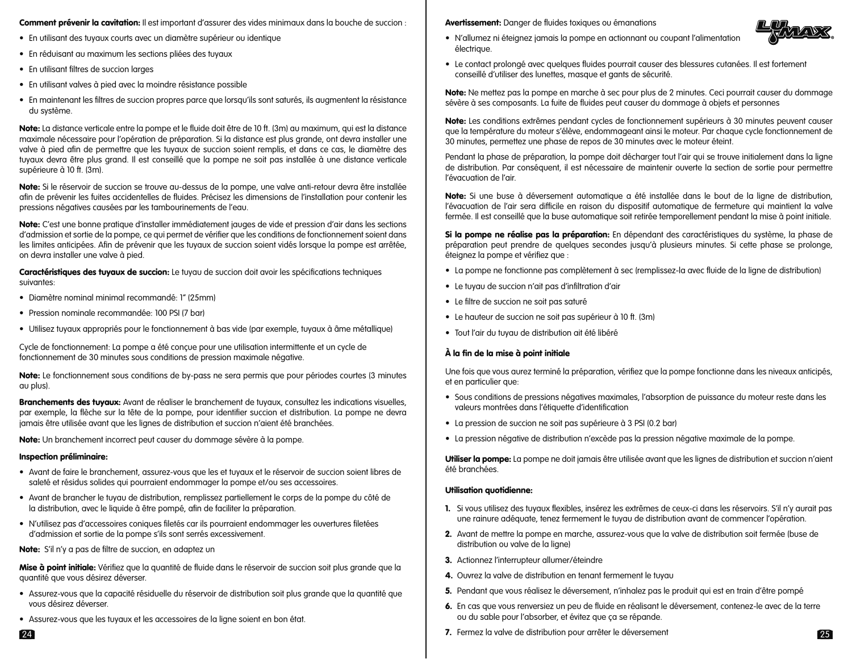# Comment prévenir la cavitation: Il est important d'assurer des vides minimaux dans la bouche de succion :

- En utilisant des tuyaux courts avec un diamètre supérieur ou identique
- En réduisant au maximum les sections pliées des tuyaux
- En utilisant filtres de succion larges
- En utilisant valves à pied avec la moindre résistance possible
- En maintenant les filtres de succion propres parce que lorsqu'ils sont saturés, ils augmentent la résistance du système.

Note: La distance verticale entre la pompe et le fluide doit être de 10 ft. (3m) au maximum, qui est la distance maximale nécessaire pour l'opération de préparation. Si la distance est plus grande, ont devra installer une valve à pied afin de permettre que les tuyaux de succion soient remplis, et dans ce cas, le diamètre des tuyaux devra être plus grand. Il est conseillé que la pompe ne soit pas installée à une distance verticale supérieure à 10 ft. (3m).

Note: Si le réservoir de succion se trouve au-dessus de la pompe, une valve anti-retour devra être installée afin de prévenir les fuites accidentelles de fluides. Précisez les dimensions de l'installation pour contenir les pressions négatives causées par les tambourinements de l'eau.

Note: C'est une bonne pratique d'installer immédiatement jauges de vide et pression d'air dans les sections d'admission et sortie de la pompe, ce qui permet de vérifier que les conditions de fonctionnement soient dans les limites anticipées. Afin de prévenir que les tuyaux de succion soient vidés lorsque la pompe est arrêtée, on devra installer une valve à pied.

Caractéristiques des tuyaux de succion: Le tuyau de succion doit avoir les spécifications techniques suivantes:

- Diamètre nominal minimal recommandé: 1" (25mm)
- Pression nominale recommandée: 100 PSI (7 bar)
- Utilisez tuyaux appropriés pour le fonctionnement à bas vide (par exemple, tuyaux à âme métallique)

Cycle de fonctionnement: La pompe a été conçue pour une utilisation intermittente et un cycle de fonctionnement de 30 minutes sous conditions de pression maximale négative.

Note: Le fonctionnement sous conditions de by-pass ne sera permis que pour périodes courtes (3 minutes au plus).

Branchements des tuyaux: Avant de réaliser le branchement de tuyaux, consultez les indications visuelles, par exemple, la flèche sur la tête de la pompe, pour identifier succion et distribution. La pompe ne devra jamais être utilisée avant que les lignes de distribution et succion n'aient été branchées.

Note: Un branchement incorrect peut causer du dommage sévère à la pompe.

## Inspection préliminaire:

- Avant de faire le branchement, assurez-vous que les et tuyaux et le réservoir de succion soient libres de saleté et résidus solides qui pourraient endommager la pompe et/ou ses accessoires.
- Avant de brancher le tuyau de distribution, remplissez partiellement le corps de la pompe du côté de la distribution, avec le liquide à être pompé, afin de faciliter la préparation.
- N'utilisez pas d'accessoires coniques filetés car ils pourraient endommager les ouvertures filetées d'admission et sortie de la pompe s'ils sont serrés excessivement.
- Note: S'il n'y a pas de filtre de succion, en adaptez un

Mise à point initiale: Vérifiez que la quantité de fluide dans le réservoir de succion soit plus grande que la quantité que vous désirez déverser.

- Assurez-vous que la capacité résiduelle du réservoir de distribution soit plus grande que la quantité que vous désirez déverser.
- Assurez-vous que les tuyaux et les accessoires de la ligne soient en bon état.

Avertissement: Danger de fluides toxiques ou émanations



- N'allumez ni éteignez jamais la pompe en actionnant ou coupant l'alimentation électrique.
- Le contact prolongé avec quelques fluides pourrait causer des blessures cutanées. Il est fortement conseillé d'utiliser des lunettes, masque et gants de sécurité.

Note: Ne mettez pas la pompe en marche à sec pour plus de 2 minutes. Ceci pourrait causer du dommage sévère à ses composants. La fuite de fluides peut causer du dommage à objets et personnes

Note: Les conditions extrêmes pendant cycles de fonctionnement supérieurs à 30 minutes peuvent causer que la température du moteur s'élève, endommageant ainsi le moteur. Par chaque cycle fonctionnement de 30 minutes, permettez une phase de repos de 30 minutes avec le moteur éteint.

Pendant la phase de préparation, la pompe doit décharger tout l'air qui se trouve initialement dans la ligne de distribution. Par conséquent, il est nécessaire de maintenir ouverte la section de sortie pour permettre l'évacuation de l'air.

Note: Si une buse à déversement automatique a été installée dans le bout de la ligne de distribution, l'évacuation de l'air sera difficile en raison du dispositif automatique de fermeture qui maintient la valve fermée. Il est conseillé que la buse automatique soit retirée temporellement pendant la mise à point initiale.

Si la pompe ne réalise pas la préparation: En dépendant des caractéristiques du système, la phase de préparation peut prendre de quelques secondes jusqu'à plusieurs minutes. Si cette phase se prolonge, éteignez la pompe et vérifiez que :

- La pompe ne fonctionne pas complètement à sec (remplissez-la avec fluide de la ligne de distribution)
- Le tuyau de succion n'ait pas d'infiltration d'air
- Le filtre de succion ne soit pas saturé
- Le hauteur de succion ne soit pas supérieur à 10 ft. (3m)
- Tout l'air du tuyau de distribution ait été libéré

# À la fin de la mise à point initiale

Une fois que vous aurez terminé la préparation, vérifiez que la pompe fonctionne dans les niveaux anticipés, et en particulier que:

- Sous conditions de pressions négatives maximales, l'absorption de puissance du moteur reste dans les valeurs montrées dans l'étiquette d'identification
- La pression de succion ne soit pas supérieure à 3 PSI (0.2 bar)
- La pression négative de distribution n'excède pas la pression négative maximale de la pompe.

Utiliser la pompe: La pompe ne doit jamais être utilisée avant que les lignes de distribution et succion n'aient été branchées.

# Utilisation quotidienne:

- 1. Si vous utilisez des tuyaux flexibles, insérez les extrêmes de ceux-ci dans les réservoirs. S'il n'y aurait pas une rainure adéquate, tenez fermement le tuyau de distribution avant de commencer l'opération.
- 2. Avant de mettre la pompe en marche, assurez-vous que la valve de distribution soit fermée (buse de distribution ou valve de la ligne)
- 3. Actionnez l'interrupteur allumer/éteindre
- 4. Ouvrez la valve de distribution en tenant fermement le tuyau
- 5. Pendant que vous réalisez le déversement, n'inhalez pas le produit qui est en train d'être pompé
- 6. En cas que vous renversiez un peu de fluide en réalisant le déversement, contenez-le avec de la terre ou du sable pour l'absorber, et évitez que ça se répande.
- 24 25 7. Fermez la valve de distribution pour arrêter le déversement